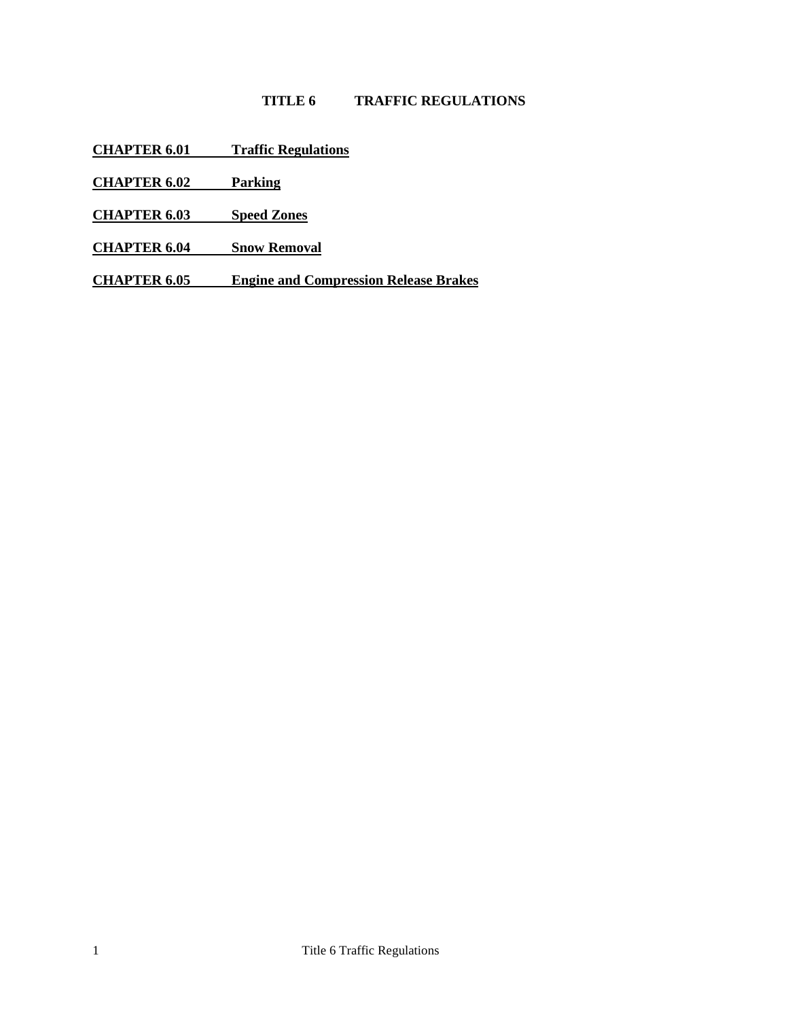# **TITLE 6 TRAFFIC REGULATIONS**

- **CHAPTER 6.01 [Traffic Regulations](#page-1-0)**
- **[CHAPTER 6.02](#page-2-0) Parking**
- **[CHAPTER 6.03](#page-5-0) Speed Zones**
- **[CHAPTER 6.04](#page-6-0) Snow Removal**
- **CHAPTER 6.05 [Engine and Compression Release Brakes](#page-7-0)**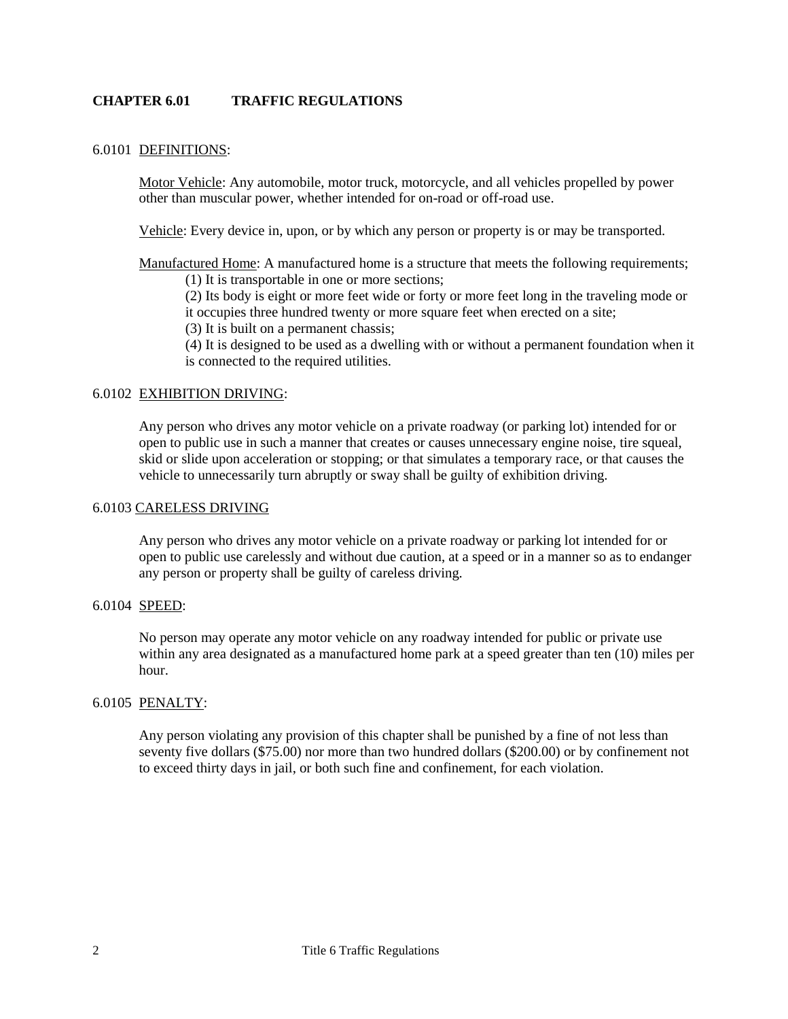### <span id="page-1-0"></span>**CHAPTER 6.01 TRAFFIC REGULATIONS**

#### 6.0101 DEFINITIONS:

Motor Vehicle: Any automobile, motor truck, motorcycle, and all vehicles propelled by power other than muscular power, whether intended for on-road or off-road use.

Vehicle: Every device in, upon, or by which any person or property is or may be transported.

Manufactured Home: A manufactured home is a structure that meets the following requirements;

(1) It is transportable in one or more sections;

(2) Its body is eight or more feet wide or forty or more feet long in the traveling mode or it occupies three hundred twenty or more square feet when erected on a site;

(3) It is built on a permanent chassis;

(4) It is designed to be used as a dwelling with or without a permanent foundation when it is connected to the required utilities.

### 6.0102 EXHIBITION DRIVING:

Any person who drives any motor vehicle on a private roadway (or parking lot) intended for or open to public use in such a manner that creates or causes unnecessary engine noise, tire squeal, skid or slide upon acceleration or stopping; or that simulates a temporary race, or that causes the vehicle to unnecessarily turn abruptly or sway shall be guilty of exhibition driving.

#### 6.0103 CARELESS DRIVING

Any person who drives any motor vehicle on a private roadway or parking lot intended for or open to public use carelessly and without due caution, at a speed or in a manner so as to endanger any person or property shall be guilty of careless driving.

#### 6.0104 SPEED:

No person may operate any motor vehicle on any roadway intended for public or private use within any area designated as a manufactured home park at a speed greater than ten (10) miles per hour.

## 6.0105 PENALTY:

Any person violating any provision of this chapter shall be punished by a fine of not less than seventy five dollars (\$75.00) nor more than two hundred dollars (\$200.00) or by confinement not to exceed thirty days in jail, or both such fine and confinement, for each violation.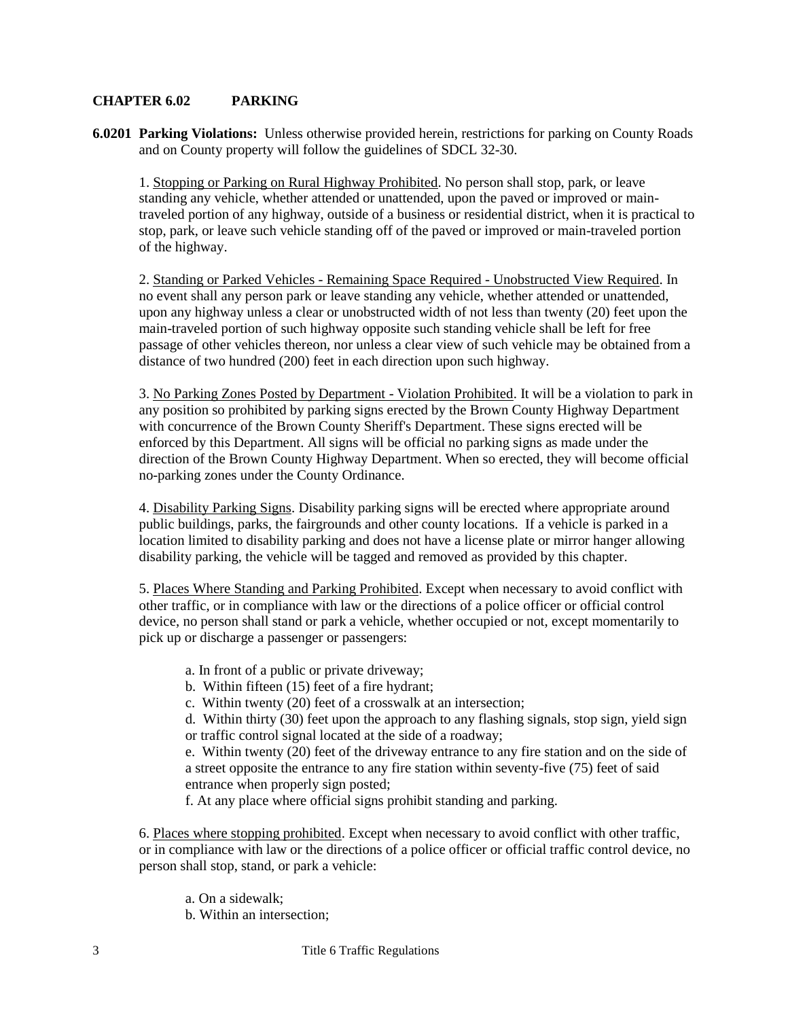### <span id="page-2-0"></span>**CHAPTER 6.02 PARKING**

**6.0201 Parking Violations:** Unless otherwise provided herein, restrictions for parking on County Roads and on County property will follow the guidelines of SDCL 32-30.

1. Stopping or Parking on Rural Highway Prohibited. No person shall stop, park, or leave standing any vehicle, whether attended or unattended, upon the paved or improved or maintraveled portion of any highway, outside of a business or residential district, when it is practical to stop, park, or leave such vehicle standing off of the paved or improved or main-traveled portion of the highway.

2. Standing or Parked Vehicles - Remaining Space Required - Unobstructed View Required. In no event shall any person park or leave standing any vehicle, whether attended or unattended, upon any highway unless a clear or unobstructed width of not less than twenty (20) feet upon the main-traveled portion of such highway opposite such standing vehicle shall be left for free passage of other vehicles thereon, nor unless a clear view of such vehicle may be obtained from a distance of two hundred (200) feet in each direction upon such highway.

3. No Parking Zones Posted by Department - Violation Prohibited. It will be a violation to park in any position so prohibited by parking signs erected by the Brown County Highway Department with concurrence of the Brown County Sheriff's Department. These signs erected will be enforced by this Department. All signs will be official no parking signs as made under the direction of the Brown County Highway Department. When so erected, they will become official no-parking zones under the County Ordinance.

4. Disability Parking Signs. Disability parking signs will be erected where appropriate around public buildings, parks, the fairgrounds and other county locations. If a vehicle is parked in a location limited to disability parking and does not have a license plate or mirror hanger allowing disability parking, the vehicle will be tagged and removed as provided by this chapter.

5. Places Where Standing and Parking Prohibited. Except when necessary to avoid conflict with other traffic, or in compliance with law or the directions of a police officer or official control device, no person shall stand or park a vehicle, whether occupied or not, except momentarily to pick up or discharge a passenger or passengers:

- a. In front of a public or private driveway;
- b. Within fifteen (15) feet of a fire hydrant;
- c. Within twenty (20) feet of a crosswalk at an intersection;

d. Within thirty (30) feet upon the approach to any flashing signals, stop sign, yield sign or traffic control signal located at the side of a roadway;

e. Within twenty (20) feet of the driveway entrance to any fire station and on the side of a street opposite the entrance to any fire station within seventy-five (75) feet of said entrance when properly sign posted;

f. At any place where official signs prohibit standing and parking.

6. Places where stopping prohibited. Except when necessary to avoid conflict with other traffic, or in compliance with law or the directions of a police officer or official traffic control device, no person shall stop, stand, or park a vehicle:

- a. On a sidewalk;
- b. Within an intersection;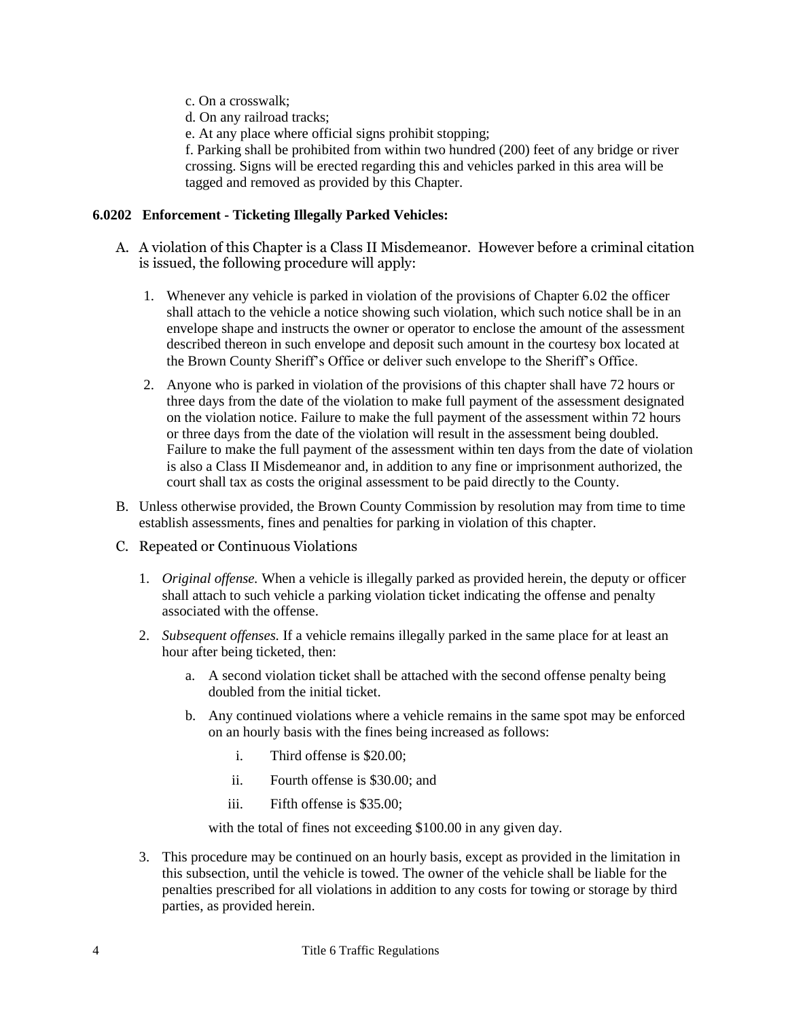- c. On a crosswalk;
- d. On any railroad tracks;
- e. At any place where official signs prohibit stopping;

f. Parking shall be prohibited from within two hundred (200) feet of any bridge or river crossing. Signs will be erected regarding this and vehicles parked in this area will be tagged and removed as provided by this Chapter.

### **6.0202 Enforcement - Ticketing Illegally Parked Vehicles:**

- A. A violation of this Chapter is a Class II Misdemeanor. However before a criminal citation is issued, the following procedure will apply:
	- 1. Whenever any vehicle is parked in violation of the provisions of Chapter 6.02 the officer shall attach to the vehicle a notice showing such violation, which such notice shall be in an envelope shape and instructs the owner or operator to enclose the amount of the assessment described thereon in such envelope and deposit such amount in the courtesy box located at the Brown County Sheriff's Office or deliver such envelope to the Sheriff's Office.
	- 2. Anyone who is parked in violation of the provisions of this chapter shall have 72 hours or three days from the date of the violation to make full payment of the assessment designated on the violation notice. Failure to make the full payment of the assessment within 72 hours or three days from the date of the violation will result in the assessment being doubled. Failure to make the full payment of the assessment within ten days from the date of violation is also a Class II Misdemeanor and, in addition to any fine or imprisonment authorized, the court shall tax as costs the original assessment to be paid directly to the County.
- B. Unless otherwise provided, the Brown County Commission by resolution may from time to time establish assessments, fines and penalties for parking in violation of this chapter.
- C. Repeated or Continuous Violations
	- 1. *Original offense.* When a vehicle is illegally parked as provided herein, the deputy or officer shall attach to such vehicle a parking violation ticket indicating the offense and penalty associated with the offense.
	- 2. *Subsequent offenses.* If a vehicle remains illegally parked in the same place for at least an hour after being ticketed, then:
		- a. A second violation ticket shall be attached with the second offense penalty being doubled from the initial ticket.
		- b. Any continued violations where a vehicle remains in the same spot may be enforced on an hourly basis with the fines being increased as follows:
			- i. Third offense is \$20.00;
			- ii. Fourth offense is \$30.00; and
			- iii. Fifth offense is \$35.00;

with the total of fines not exceeding \$100.00 in any given day.

3. This procedure may be continued on an hourly basis, except as provided in the limitation in this subsection, until the vehicle is towed. The owner of the vehicle shall be liable for the penalties prescribed for all violations in addition to any costs for towing or storage by third parties, as provided herein.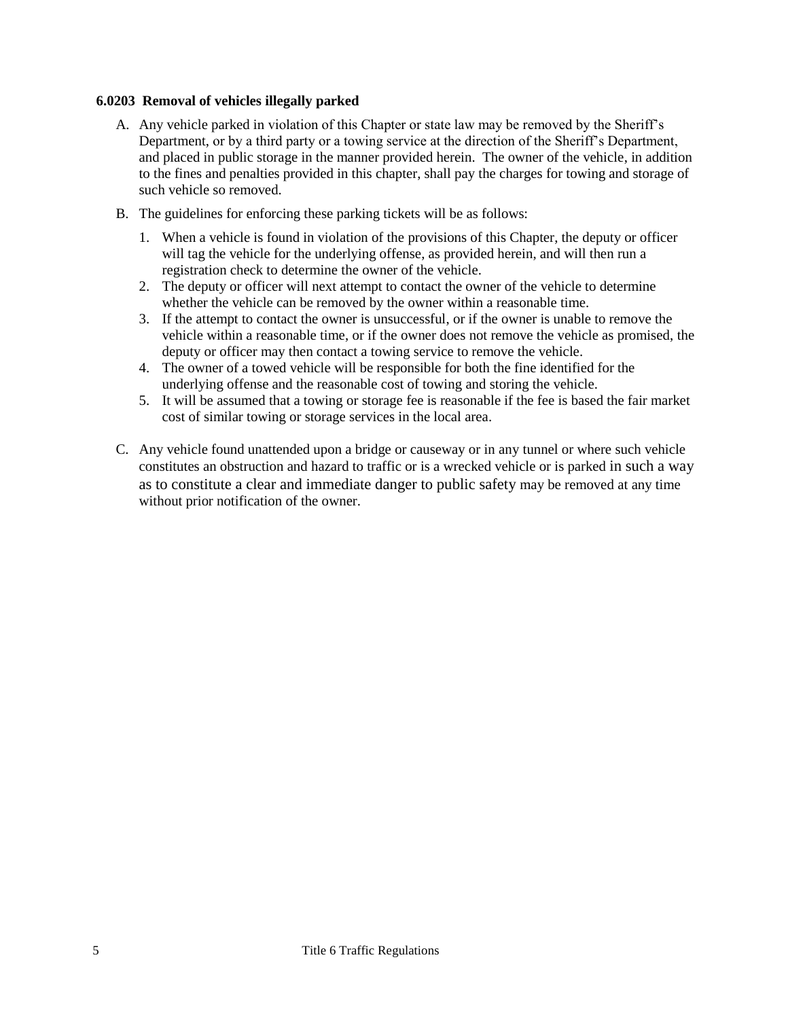### **6.0203 Removal of vehicles illegally parked**

- A. Any vehicle parked in violation of this Chapter or state law may be removed by the Sheriff's Department, or by a third party or a towing service at the direction of the Sheriff's Department, and placed in public storage in the manner provided herein. The owner of the vehicle, in addition to the fines and penalties provided in this chapter, shall pay the charges for towing and storage of such vehicle so removed.
- B. The guidelines for enforcing these parking tickets will be as follows:
	- 1. When a vehicle is found in violation of the provisions of this Chapter, the deputy or officer will tag the vehicle for the underlying offense, as provided herein, and will then run a registration check to determine the owner of the vehicle.
	- 2. The deputy or officer will next attempt to contact the owner of the vehicle to determine whether the vehicle can be removed by the owner within a reasonable time.
	- 3. If the attempt to contact the owner is unsuccessful, or if the owner is unable to remove the vehicle within a reasonable time, or if the owner does not remove the vehicle as promised, the deputy or officer may then contact a towing service to remove the vehicle.
	- 4. The owner of a towed vehicle will be responsible for both the fine identified for the underlying offense and the reasonable cost of towing and storing the vehicle.
	- 5. It will be assumed that a towing or storage fee is reasonable if the fee is based the fair market cost of similar towing or storage services in the local area.
- C. Any vehicle found unattended upon a bridge or causeway or in any tunnel or where such vehicle constitutes an obstruction and hazard to traffic or is a wrecked vehicle or is parked in such a way as to constitute a clear and immediate danger to public safety may be removed at any time without prior notification of the owner.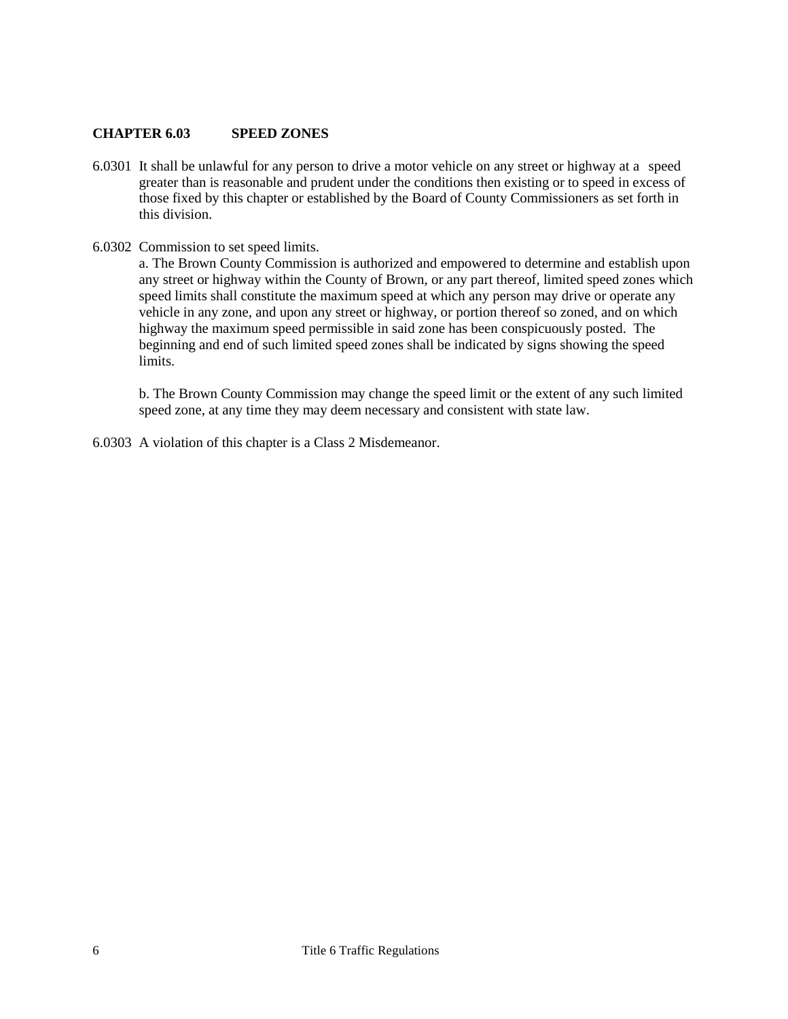### <span id="page-5-0"></span>**CHAPTER 6.03 SPEED ZONES**

- 6.0301 It shall be unlawful for any person to drive a motor vehicle on any street or highway at a speed greater than is reasonable and prudent under the conditions then existing or to speed in excess of those fixed by this chapter or established by the Board of County Commissioners as set forth in this division.
- 6.0302 Commission to set speed limits.

a. The Brown County Commission is authorized and empowered to determine and establish upon any street or highway within the County of Brown, or any part thereof, limited speed zones which speed limits shall constitute the maximum speed at which any person may drive or operate any vehicle in any zone, and upon any street or highway, or portion thereof so zoned, and on which highway the maximum speed permissible in said zone has been conspicuously posted. The beginning and end of such limited speed zones shall be indicated by signs showing the speed limits.

b. The Brown County Commission may change the speed limit or the extent of any such limited speed zone, at any time they may deem necessary and consistent with state law.

6.0303 A violation of this chapter is a Class 2 Misdemeanor.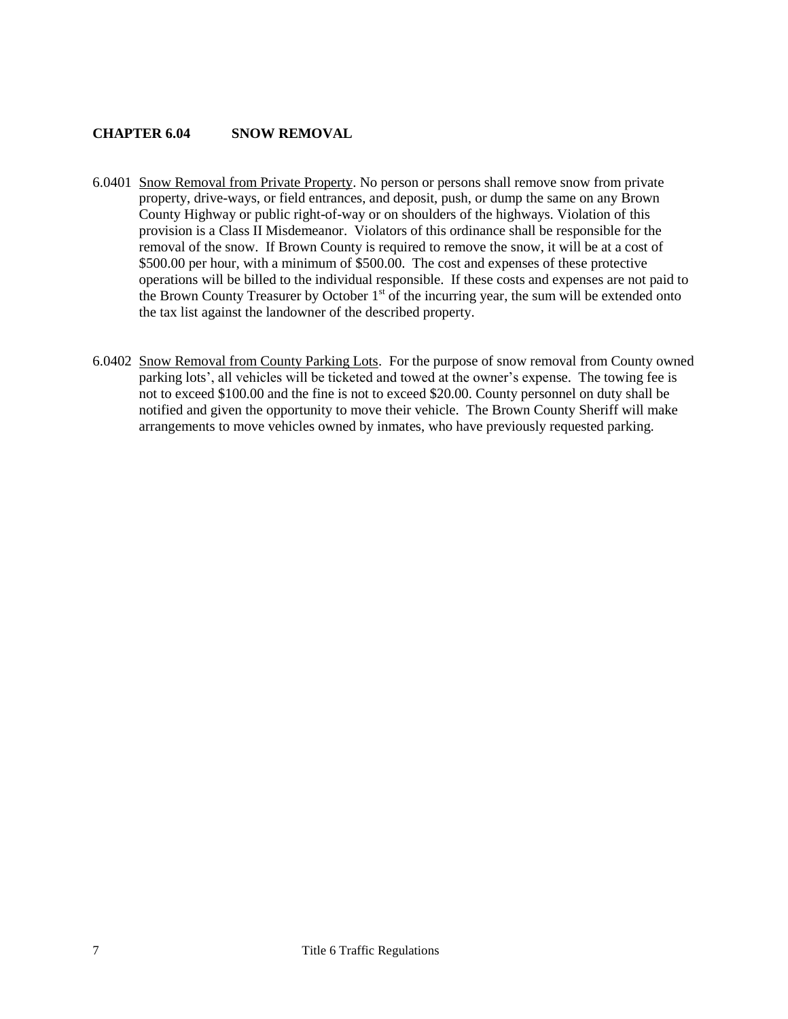### <span id="page-6-0"></span>**CHAPTER 6.04 SNOW REMOVAL**

- 6.0401 Snow Removal from Private Property. No person or persons shall remove snow from private property, drive-ways, or field entrances, and deposit, push, or dump the same on any Brown County Highway or public right-of-way or on shoulders of the highways. Violation of this provision is a Class II Misdemeanor. Violators of this ordinance shall be responsible for the removal of the snow. If Brown County is required to remove the snow, it will be at a cost of \$500.00 per hour, with a minimum of \$500.00. The cost and expenses of these protective operations will be billed to the individual responsible. If these costs and expenses are not paid to the Brown County Treasurer by October  $1<sup>st</sup>$  of the incurring year, the sum will be extended onto the tax list against the landowner of the described property.
- 6.0402 Snow Removal from County Parking Lots. For the purpose of snow removal from County owned parking lots', all vehicles will be ticketed and towed at the owner's expense. The towing fee is not to exceed \$100.00 and the fine is not to exceed \$20.00. County personnel on duty shall be notified and given the opportunity to move their vehicle. The Brown County Sheriff will make arrangements to move vehicles owned by inmates, who have previously requested parking.